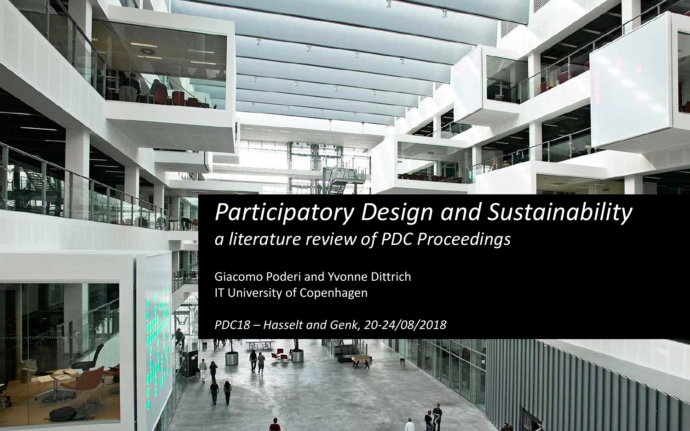## *Participatory Design and Sustainability a literature review of PDC Proceedings*

·

Giacomo Poderi and Yvonne Dittrich IT University of Copenhagen

**LAND** 

*PDC18 – Hasselt and Genk, 20-24/08/2018*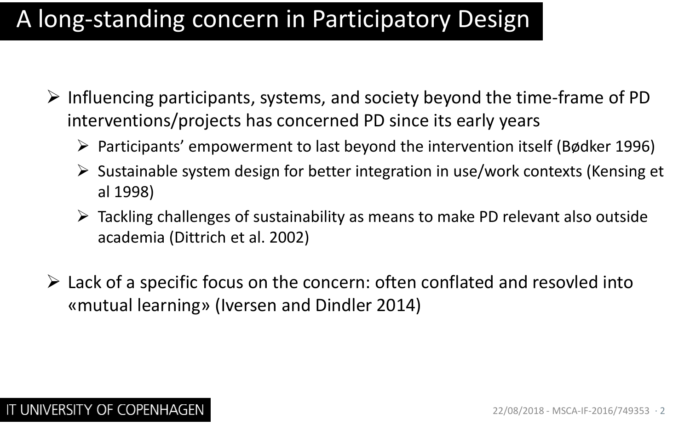## A long-standing concern in Participatory Design

- $\triangleright$  Influencing participants, systems, and society beyond the time-frame of PD interventions/projects has concerned PD since its early years
	- $\triangleright$  Participants' empowerment to last beyond the intervention itself (Bødker 1996)
	- $\triangleright$  Sustainable system design for better integration in use/work contexts (Kensing et al 1998)
	- Tackling challenges of sustainability as means to make PD relevant also outside academia (Dittrich et al. 2002)
- $\triangleright$  Lack of a specific focus on the concern: often conflated and resovled into «mutual learning» (Iversen and Dindler 2014)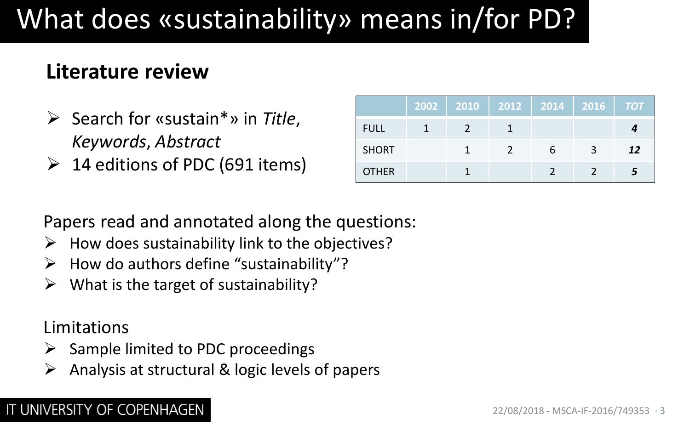# What does «sustainability» means in/for PD?

### **Literature review**

- Search for «sustain\*» in *Title*, *Keywords*, *Abstract*
- $\geq 14$  editions of PDC (691 items)

|              | 2002   2010 | 2012 |   | 2014 2016 <i>TOT</i> |    |
|--------------|-------------|------|---|----------------------|----|
| <b>FULL</b>  |             |      |   |                      |    |
| <b>SHORT</b> |             |      | h | 3                    | 12 |
| <b>OTHER</b> |             |      |   |                      |    |

Papers read and annotated along the questions:

- $\triangleright$  How does sustainability link to the objectives?
- $\triangleright$  How do authors define "sustainability"?
- $\triangleright$  What is the target of sustainability?

Limitations

- $\triangleright$  Sample limited to PDC proceedings
- $\triangleright$  Analysis at structural & logic levels of papers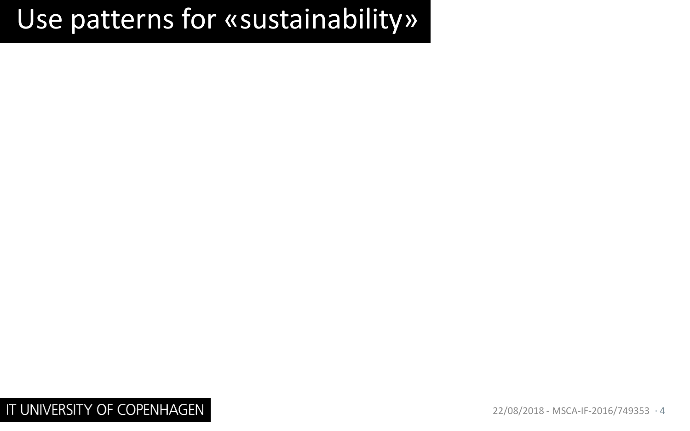## Use patterns for «sustainability»

IT UNIVERSITY OF COPENHAGEN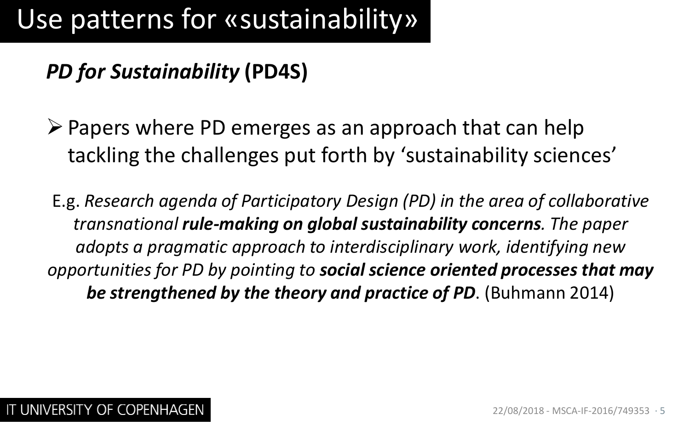## *PD for Sustainability* **(PD4S)**

- $\triangleright$  Papers where PD emerges as an approach that can help tackling the challenges put forth by 'sustainability sciences'
- E.g. *Research agenda of Participatory Design (PD) in the area of collaborative transnational rule-making on global sustainability concerns. The paper adopts a pragmatic approach to interdisciplinary work, identifying new opportunities for PD by pointing to social science oriented processes that may be strengthened by the theory and practice of PD*. (Buhmann 2014)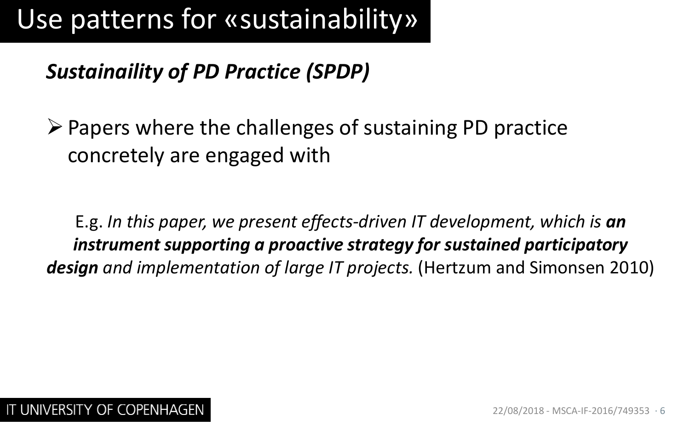## *Sustainaility of PD Practice (SPDP)*

 $\triangleright$  Papers where the challenges of sustaining PD practice concretely are engaged with

E.g. *In this paper, we present effects-driven IT development, which is an instrument supporting a proactive strategy for sustained participatory design and implementation of large IT projects.* (Hertzum and Simonsen 2010)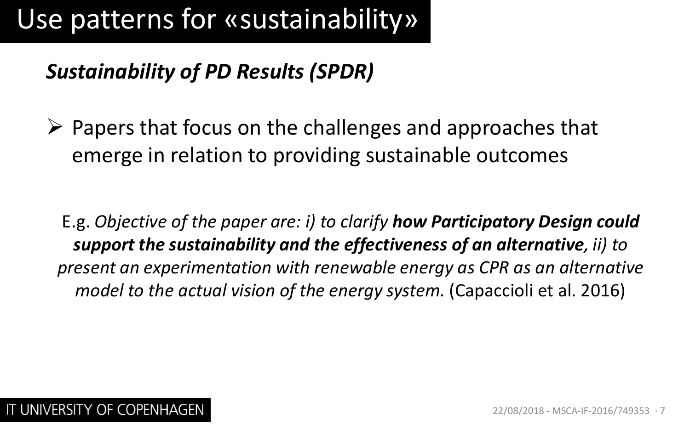### *Sustainability of PD Results (SPDR)*

 $\triangleright$  Papers that focus on the challenges and approaches that emerge in relation to providing sustainable outcomes

E.g. *Objective of the paper are: i) to clarify how Participatory Design could support the sustainability and the effectiveness of an alternative, ii) to present an experimentation with renewable energy as CPR as an alternative model to the actual vision of the energy system.* (Capaccioli et al. 2016)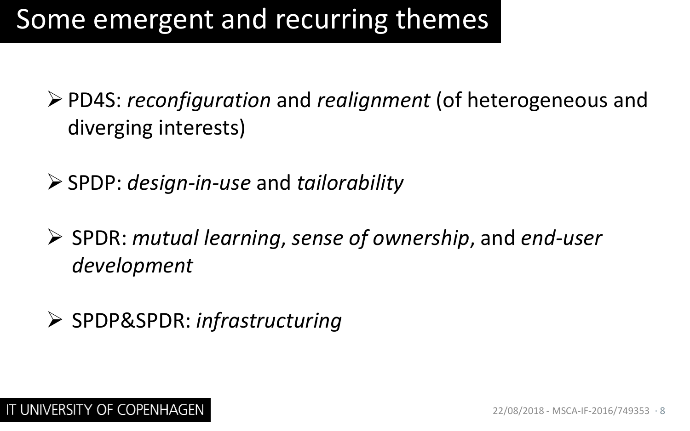## Some emergent and recurring themes

- PD4S: *reconfiguration* and *realignment* (of heterogeneous and diverging interests)
- SPDP: *design-in-use* and *tailorability*
- SPDR: *mutual learning*, *sense of ownership*, and *end-user development*
- SPDP&SPDR: *infrastructuring*

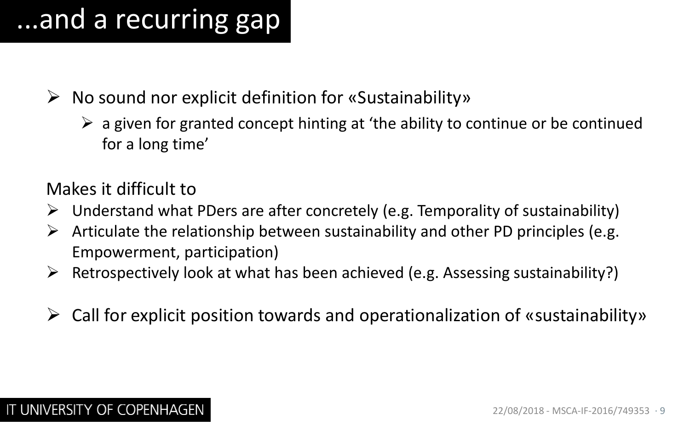# ...and a recurring gap

- $\triangleright$  No sound nor explicit definition for «Sustainability»
	- $\triangleright$  a given for granted concept hinting at 'the ability to continue or be continued for a long time'

Makes it difficult to

- $\triangleright$  Understand what PDers are after concretely (e.g. Temporality of sustainability)
- $\triangleright$  Articulate the relationship between sustainability and other PD principles (e.g. Empowerment, participation)
- $\triangleright$  Retrospectively look at what has been achieved (e.g. Assessing sustainability?)
- $\triangleright$  Call for explicit position towards and operationalization of «sustainability»

#### IT UNIVERSITY OF COPENHAGEN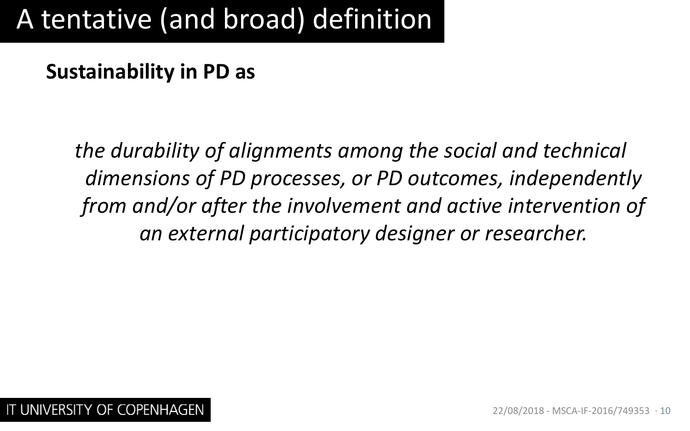# A tentative (and broad) definition

#### **Sustainability in PD as**

*the durability of alignments among the social and technical dimensions of PD processes, or PD outcomes, independently from and/or after the involvement and active intervention of an external participatory designer or researcher.*